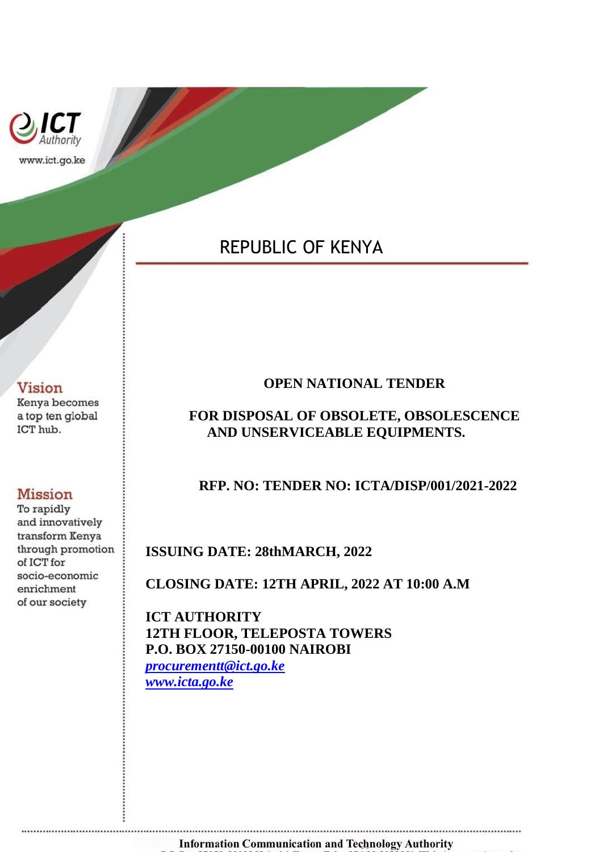

# REPUBLIC OF KENYA

## **Vision**

Kenya becomes a top ten global ICT hub.

## **Mission**

To rapidly and innovatively transform Kenya through promotion of ICT for socio-economic enrichment of our society

....................................

## **OPEN NATIONAL TENDER**

## **FOR DISPOSAL OF OBSOLETE, OBSOLESCENCE AND UNSERVICEABLE EQUIPMENTS.**

## **RFP. NO: TENDER NO: ICTA/DISP/001/2021-2022**

## **ISSUING DATE: 28thMARCH, 2022**

**CLOSING DATE: 12TH APRIL, 2022 AT 10:00 A.M**

**ICT AUTHORITY 12TH FLOOR, TELEPOSTA TOWERS P.O. BOX 27150-00100 NAIROBI** *[procurementt@ict.go.ke](mailto:procurementt@ict.go.ke) [www.icta.go.ke](http://www.icta.go.ke/)*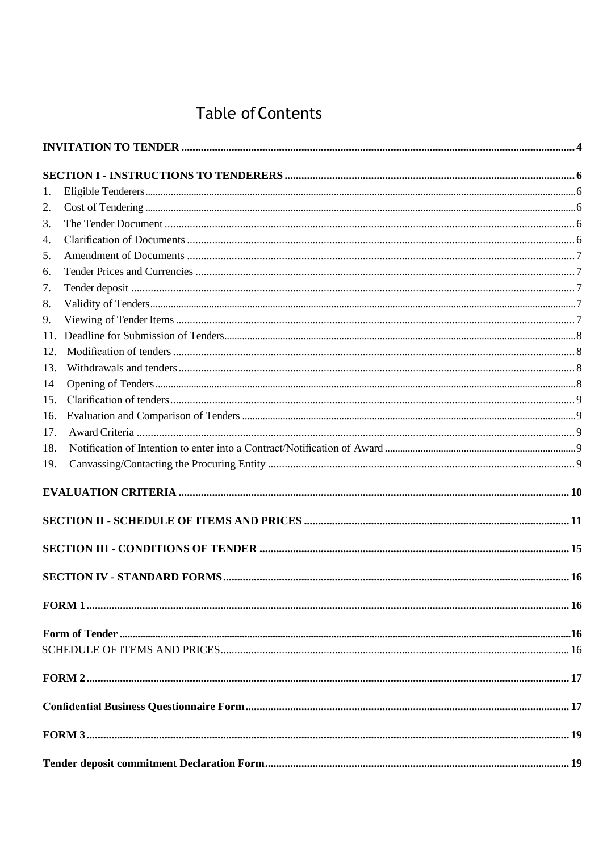# **Table of Contents**

| 1.  |  |
|-----|--|
| 2.  |  |
| 3.  |  |
| 4.  |  |
| 5.  |  |
| 6.  |  |
| 7.  |  |
| 8.  |  |
| 9.  |  |
| 11. |  |
| 12. |  |
| 13. |  |
| 14  |  |
| 15. |  |
| 16. |  |
| 17. |  |
| 18. |  |
| 19. |  |
|     |  |
|     |  |
|     |  |
|     |  |
|     |  |
|     |  |
|     |  |
|     |  |
|     |  |
|     |  |
|     |  |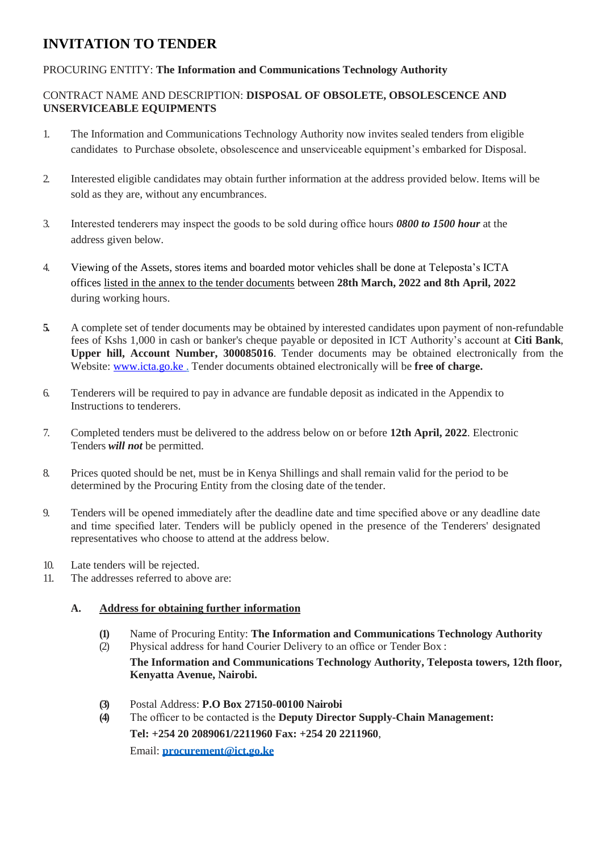## <span id="page-3-0"></span>**INVITATION TO TENDER**

## PROCURING ENTITY: **The Information and Communications Technology Authority**

## CONTRACT NAME AND DESCRIPTION: **DISPOSAL OF OBSOLETE, OBSOLESCENCE AND UNSERVICEABLE EQUIPMENTS**

- 1. The Information and Communications Technology Authority now invites sealed tenders from eligible candidates to Purchase obsolete, obsolescence and unserviceable equipment's embarked for Disposal.
- 2. Interested eligible candidates may obtain further information at the address provided below. Items will be sold as they are, without any encumbrances.
- 3. Interested tenderers may inspect the goods to be sold during office hours *0800 to 1500 hour* at the address given below.
- 4. Viewing of the Assets, stores items and boarded motor vehicles shall be done at Teleposta's ICTA offices listed in the annex to the tender documents between **28th March, 2022 and 8th April, 2022** during working hours.
- **5.** A complete set of tender documents may be obtained by interested candidates upon payment of non-refundable fees of Kshs 1,000 in cash or banker's cheque payable or deposited in ICT Authority's account at **Citi Bank**, **Upper hill, Account Number, 300085016**. Tender documents may be obtained electronically from the Website: www.icta.go.ke . Tender documents obtained electronically will be **free of charge.**
- 6. Tenderers will be required to pay in advance are fundable deposit as indicated in the Appendix to Instructions to tenderers.
- 7. Completed tenders must be delivered to the address below on or before **12th April, 2022**. Electronic Tenders *will not* be permitted.
- 8. Prices quoted should be net, must be in Kenya Shillings and shall remain valid for the period to be determined by the Procuring Entity from the closing date of the tender.
- 9. Tenders will be opened immediately after the deadline date and time specified above or any deadline date and time specified later. Tenders will be publicly opened in the presence of the Tenderers' designated representatives who choose to attend at the address below.
- 10. Late tenders will be rejected.
- 11. The addresses referred to above are:

## **A. Address for obtaining further information**

- **(1)** Name of Procuring Entity: **The Information and Communications Technology Authority**
- (2) Physical address for hand Courier Delivery to an office or Tender Box : **The Information and Communications Technology Authority, Teleposta towers, 12th floor, Kenyatta Avenue, Nairobi.**
- **(3)** Postal Address: **P.O Box 27150-00100 Nairobi**
- **(4)** The officer to be contacted is the **Deputy Director Supply-Chain Management: Tel: +254 20 2089061/2211960 Fax: +254 20 2211960**, Email: **procurement@ict.go.ke**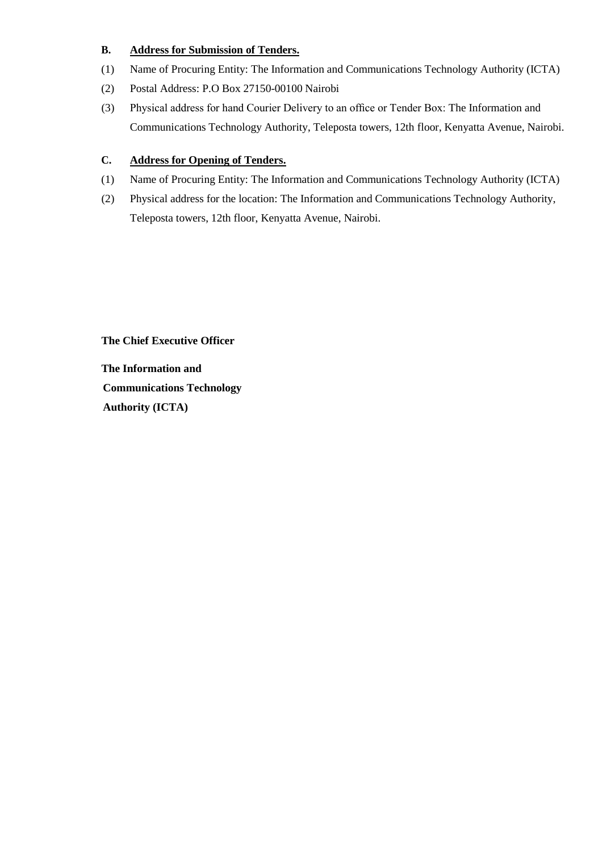## **B. Address for Submission of Tenders.**

- (1) Name of Procuring Entity: The Information and Communications Technology Authority (ICTA)
- (2) Postal Address: P.O Box 27150-00100 Nairobi
- (3) Physical address for hand Courier Delivery to an office or Tender Box: The Information and Communications Technology Authority, Teleposta towers, 12th floor, Kenyatta Avenue, Nairobi.

## **C. Address for Opening of Tenders.**

- (1) Name of Procuring Entity: The Information and Communications Technology Authority (ICTA)
- (2) Physical address for the location: The Information and Communications Technology Authority, Teleposta towers, 12th floor, Kenyatta Avenue, Nairobi.

**The Chief Executive Officer** 

**The Information and Communications Technology Authority (ICTA)**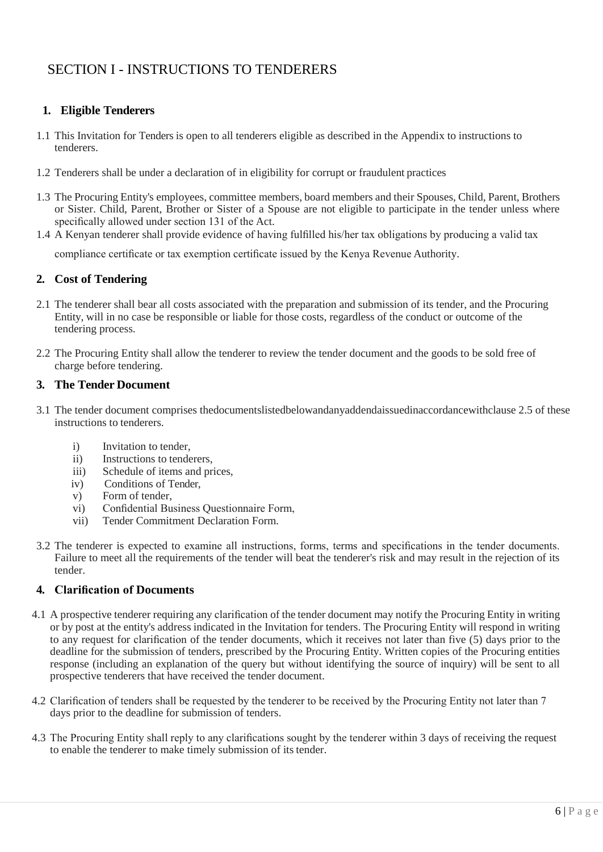## <span id="page-5-0"></span>SECTION I - INSTRUCTIONS TO TENDERERS

## <span id="page-5-1"></span>**1. Eligible Tenderers**

- 1.1 This Invitation for Tenders is open to all tenderers eligible as described in the Appendix to instructions to tenderers.
- 1.2 Tenderers shall be under a declaration of in eligibility for corrupt or fraudulent practices
- 1.3 The Procuring Entity's employees, committee members, board members and their Spouses, Child, Parent, Brothers or Sister. Child, Parent, Brother or Sister of a Spouse are not eligible to participate in the tender unless where specifically allowed under section 131 of the Act.
- 1.4 A Kenyan tenderer shall provide evidence of having fulfilled his/her tax obligations by producing a valid tax compliance certificate or tax exemption certificate issued by the Kenya Revenue Authority.

## <span id="page-5-2"></span>**2. Cost of Tendering**

- 2.1 The tenderer shall bear all costs associated with the preparation and submission of its tender, and the Procuring Entity, will in no case be responsible or liable for those costs, regardless of the conduct or outcome of the tendering process.
- 2.2 The Procuring Entity shall allow the tenderer to review the tender document and the goods to be sold free of charge before tendering.

## <span id="page-5-3"></span>**3. The Tender Document**

- 3.1 The tender document comprises thedocumentslistedbelowandanyaddendaissuedinaccordancewithclause 2.5 of these instructions to tenderers.
	- i) Invitation to tender.
	- ii) Instructions to tenderers,
	- iii) Schedule of items and prices,
	- iv) Conditions of Tender,
	- v) Form of tender,
	- vi) Confidential Business Questionnaire Form,
	- vii) Tender Commitment Declaration Form.
- 3.2 The tenderer is expected to examine all instructions, forms, terms and specifications in the tender documents. Failure to meet all the requirements of the tender will beat the tenderer's risk and may result in the rejection of its tender.

## <span id="page-5-4"></span>**4. Clarification of Documents**

- 4.1 A prospective tenderer requiring any clarification of the tender document may notify the Procuring Entity in writing or by post at the entity's address indicated in the Invitation for tenders. The Procuring Entity will respond in writing to any request for clarification of the tender documents, which it receives not later than five (5) days prior to the deadline for the submission of tenders, prescribed by the Procuring Entity. Written copies of the Procuring entities response (including an explanation of the query but without identifying the source of inquiry) will be sent to all prospective tenderers that have received the tender document.
- 4.2 Clarification of tenders shall be requested by the tenderer to be received by the Procuring Entity not later than 7 days prior to the deadline for submission of tenders.
- 4.3 The Procuring Entity shall reply to any clarifications sought by the tenderer within 3 days of receiving the request to enable the tenderer to make timely submission of its tender.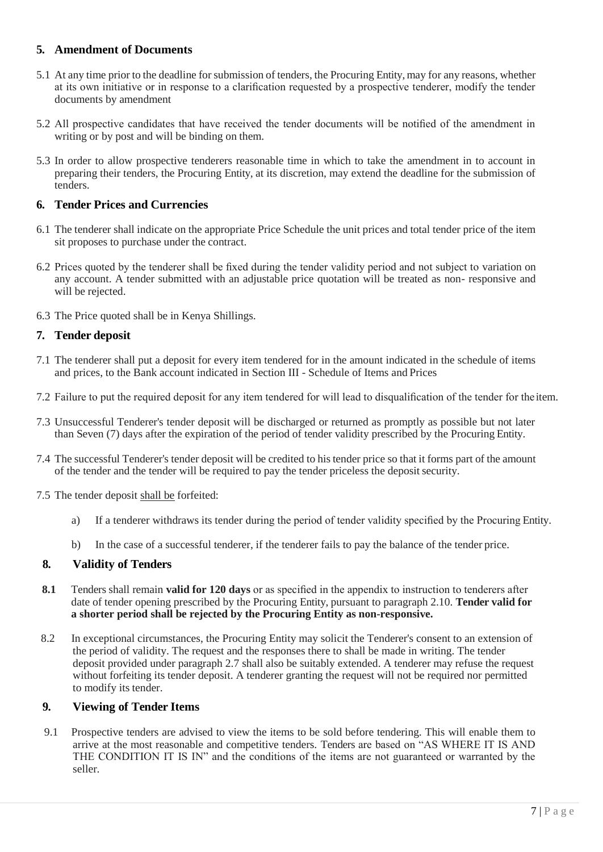## <span id="page-6-0"></span>**5. Amendment of Documents**

- 5.1 At any time prior to the deadline forsubmission of tenders, the Procuring Entity,may for any reasons, whether at its own initiative or in response to a clarification requested by a prospective tenderer, modify the tender documents by amendment
- 5.2 All prospective candidates that have received the tender documents will be notified of the amendment in writing or by post and will be binding on them.
- 5.3 In order to allow prospective tenderers reasonable time in which to take the amendment in to account in preparing their tenders, the Procuring Entity, at its discretion, may extend the deadline for the submission of tenders.

## <span id="page-6-1"></span>**6. Tender Prices and Currencies**

- 6.1 The tenderer shall indicate on the appropriate Price Schedule the unit prices and total tender price of the item sit proposes to purchase under the contract.
- 6.2 Prices quoted by the tenderer shall be fixed during the tender validity period and not subject to variation on any account. A tender submitted with an adjustable price quotation will be treated as non- responsive and will be rejected.
- 6.3 The Price quoted shall be in Kenya Shillings.

## <span id="page-6-2"></span>**7. Tender deposit**

- 7.1 The tenderer shall put a deposit for every item tendered for in the amount indicated in the schedule of items and prices, to the Bank account indicated in Section III - Schedule of Items and Prices
- 7.2 Failure to put the required deposit for any item tendered for will lead to disqualification of the tender for theitem.
- 7.3 Unsuccessful Tenderer's tender deposit will be discharged or returned as promptly as possible but not later than Seven (7) days after the expiration of the period of tender validity prescribed by the Procuring Entity.
- 7.4 The successful Tenderer's tender deposit will be credited to his tender price so that it forms part of the amount of the tender and the tender will be required to pay the tender priceless the depositsecurity.
- 7.5 The tender deposit shall be forfeited:
	- a) If a tenderer withdraws its tender during the period of tender validity specified by the Procuring Entity.
	- b) In the case of a successful tenderer, if the tenderer fails to pay the balance of the tender price.

## <span id="page-6-3"></span>**8. Validity of Tenders**

- **8.1** Tenders shall remain **valid for 120 days** or as specified in the appendix to instruction to tenderers after date of tender opening prescribed by the Procuring Entity, pursuant to paragraph 2.10. **Tender valid for a shorter period shall be rejected by the Procuring Entity as non-responsive.**
- 8.2 In exceptional circumstances, the Procuring Entity may solicit the Tenderer's consent to an extension of the period of validity. The request and the responses there to shall be made in writing. The tender deposit provided under paragraph 2.7 shall also be suitably extended. A tenderer may refuse the request without forfeiting its tender deposit. A tenderer granting the request will not be required nor permitted to modify its tender.

## <span id="page-6-4"></span>**9. Viewing of Tender Items**

9.1 Prospective tenders are advised to view the items to be sold before tendering. This will enable them to arrive at the most reasonable and competitive tenders. Tenders are based on "AS WHERE IT IS AND THE CONDITION IT IS IN" and the conditions of the items are not guaranteed or warranted by the seller.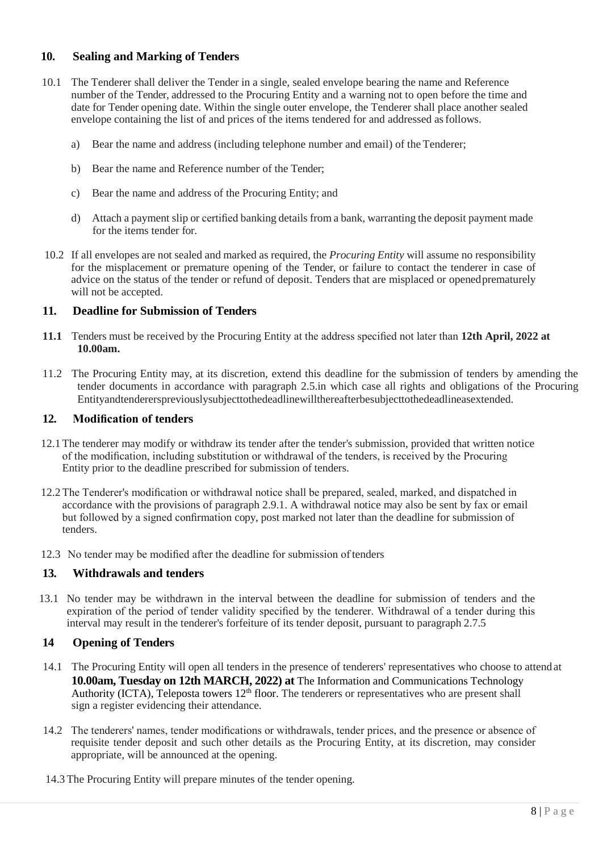## **10. Sealing and Marking of Tenders**

- 10.1 The Tenderer shall deliver the Tender in a single, sealed envelope bearing the name and Reference number of the Tender, addressed to the Procuring Entity and a warning not to open before the time and date for Tender opening date. Within the single outer envelope, the Tenderer shall place another sealed envelope containing the list of and prices of the items tendered for and addressed asfollows.
	- a) Bear the name and address (including telephone number and email) of the Tenderer;
	- b) Bear the name and Reference number of the Tender;
	- c) Bear the name and address of the Procuring Entity; and
	- d) Attach a payment slip or certified banking details from a bank, warranting the deposit payment made for the items tender for.
- 10.2 If all envelopes are not sealed and marked as required, the *Procuring Entity* will assume no responsibility for the misplacement or premature opening of the Tender, or failure to contact the tenderer in case of advice on the status of the tender or refund of deposit. Tenders that are misplaced or openedprematurely will not be accepted.

#### <span id="page-7-0"></span>**11. Deadline for Submission of Tenders**

- **11.1** Tenders must be received by the Procuring Entity at the address specified not later than **12th April, 2022 at 10.00am.**
- 11.2 The Procuring Entity may, at its discretion, extend this deadline for the submission of tenders by amending the tender documents in accordance with paragraph 2.5.in which case all rights and obligations of the Procuring Entityandtendererspreviouslysubjecttothedeadlinewillthereafterbesubjecttothedeadlineasextended.

#### <span id="page-7-1"></span>**12. Modification of tenders**

- 12.1 The tenderer may modify or withdraw its tender after the tender's submission, provided that written notice of the modification, including substitution or withdrawal of the tenders, is received by the Procuring Entity prior to the deadline prescribed for submission of tenders.
- 12.2 The Tenderer's modification or withdrawal notice shall be prepared, sealed, marked, and dispatched in accordance with the provisions of paragraph 2.9.1. A withdrawal notice may also be sent by fax or email but followed by a signed confirmation copy, post marked not later than the deadline for submission of tenders.
- 12.3 No tender may be modified after the deadline for submission of tenders

## <span id="page-7-2"></span>**13. Withdrawals and tenders**

13.1 No tender may be withdrawn in the interval between the deadline for submission of tenders and the expiration of the period of tender validity specified by the tenderer. Withdrawal of a tender during this interval may result in the tenderer's forfeiture of its tender deposit, pursuant to paragraph 2.7.5

## <span id="page-7-3"></span>**14 Opening of Tenders**

- 14.1 The Procuring Entity will open all tenders in the presence of tenderers' representatives who choose to attendat **10.00am, Tuesday on 12th MARCH, 2022) at** The Information and Communications Technology Authority (ICTA), Teleposta towers 12<sup>th</sup> floor. The tenderers or representatives who are present shall sign a register evidencing their attendance.
- 14.2 The tenderers' names, tender modifications or withdrawals, tender prices, and the presence or absence of requisite tender deposit and such other details as the Procuring Entity, at its discretion, may consider appropriate, will be announced at the opening.
- 14.3 The Procuring Entity will prepare minutes of the tender opening.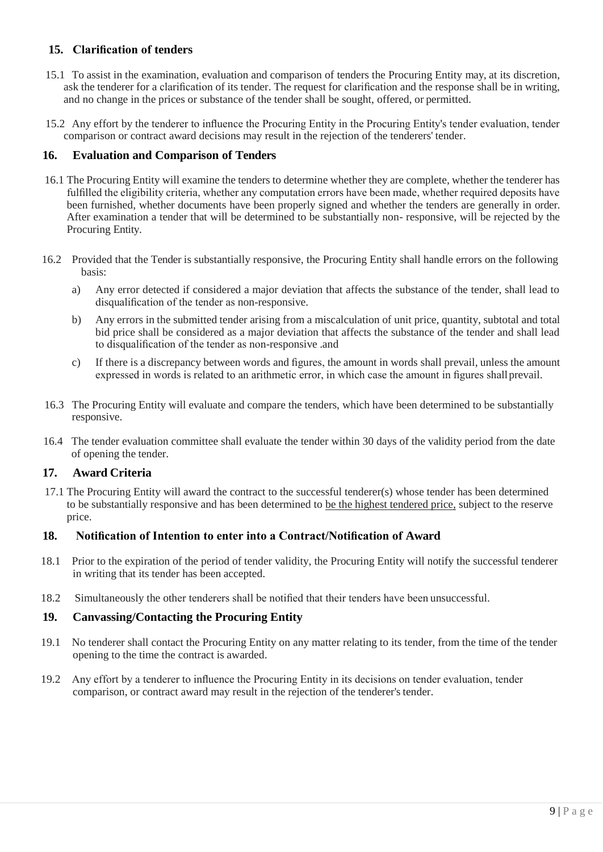## <span id="page-8-0"></span>**15. Clarification of tenders**

- 15.1 To assist in the examination, evaluation and comparison of tenders the Procuring Entity may, at its discretion, ask the tenderer for a clarification of its tender. The request for clarification and the response shall be in writing, and no change in the prices or substance of the tender shall be sought, offered, or permitted.
- 15.2 Any effort by the tenderer to influence the Procuring Entity in the Procuring Entity's tender evaluation, tender comparison or contract award decisions may result in the rejection of the tenderers' tender.

## <span id="page-8-1"></span>**16. Evaluation and Comparison of Tenders**

- 16.1 The Procuring Entity will examine the tenders to determine whether they are complete, whether the tenderer has fulfilled the eligibility criteria, whether any computation errors have been made, whether required deposits have been furnished, whether documents have been properly signed and whether the tenders are generally in order. After examination a tender that will be determined to be substantially non- responsive, will be rejected by the Procuring Entity.
- 16.2 Provided that the Tender is substantially responsive, the Procuring Entity shall handle errors on the following basis:
	- a) Any error detected if considered a major deviation that affects the substance of the tender, shall lead to disqualification of the tender as non-responsive.
	- b) Any errors in the submitted tender arising from a miscalculation of unit price, quantity, subtotal and total bid price shall be considered as a major deviation that affects the substance of the tender and shall lead to disqualification of the tender as non-responsive .and
	- c) If there is a discrepancy between words and figures, the amount in words shall prevail, unless the amount expressed in words is related to an arithmetic error, in which case the amount in figures shallprevail.
- 16.3 The Procuring Entity will evaluate and compare the tenders, which have been determined to be substantially responsive.
- 16.4 The tender evaluation committee shall evaluate the tender within 30 days of the validity period from the date of opening the tender.

## <span id="page-8-2"></span>**17. Award Criteria**

17.1 The Procuring Entity will award the contract to the successful tenderer(s) whose tender has been determined to be substantially responsive and has been determined to be the highest tendered price, subject to the reserve price.

## <span id="page-8-3"></span>**18. Notification of Intention to enter into a Contract/Notification of Award**

- 18.1 Prior to the expiration of the period of tender validity, the Procuring Entity will notify the successful tenderer in writing that its tender has been accepted.
- 18.2 Simultaneously the other tenderers shall be notified that their tenders have been unsuccessful.

## <span id="page-8-4"></span>**19. Canvassing/Contacting the Procuring Entity**

- 19.1 No tenderer shall contact the Procuring Entity on any matter relating to its tender, from the time of the tender opening to the time the contract is awarded.
- 19.2 Any effort by a tenderer to influence the Procuring Entity in its decisions on tender evaluation, tender comparison, or contract award may result in the rejection of the tenderer's tender.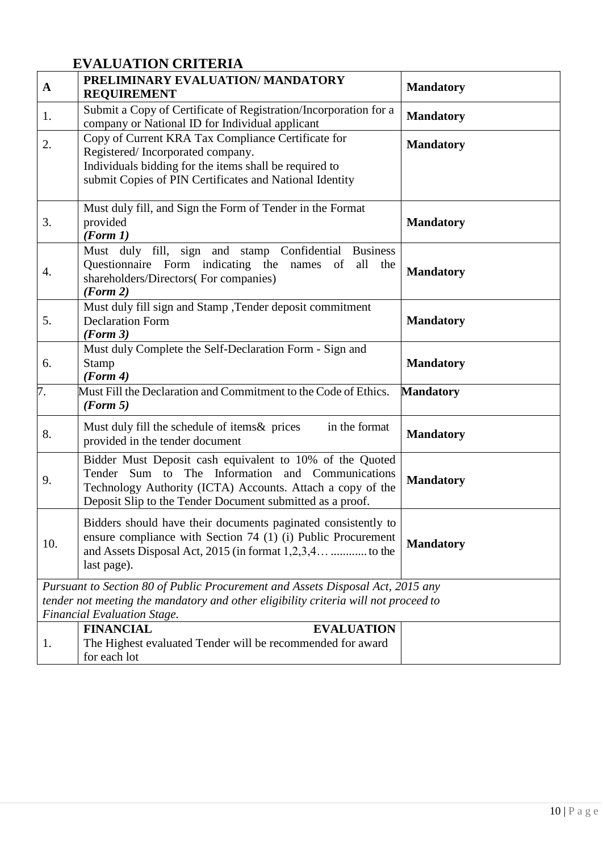## **EVALUATION CRITERIA**

<span id="page-9-0"></span>

| $\mathbf{A}$ | PRELIMINARY EVALUATION/ MANDATORY<br><b>REQUIREMENT</b>                                                                                                                                                                                 | <b>Mandatory</b> |
|--------------|-----------------------------------------------------------------------------------------------------------------------------------------------------------------------------------------------------------------------------------------|------------------|
| 1.           | Submit a Copy of Certificate of Registration/Incorporation for a<br>company or National ID for Individual applicant                                                                                                                     | <b>Mandatory</b> |
| 2.           | Copy of Current KRA Tax Compliance Certificate for<br>Registered/Incorporated company.<br>Individuals bidding for the items shall be required to<br>submit Copies of PIN Certificates and National Identity                             | <b>Mandatory</b> |
| 3.           | Must duly fill, and Sign the Form of Tender in the Format<br>provided<br>(Form 1)                                                                                                                                                       | <b>Mandatory</b> |
| 4.           | Must duly fill, sign and stamp Confidential Business<br>Questionnaire Form indicating the names of<br>all<br>the<br>shareholders/Directors(For companies)<br>(Form 2)                                                                   | <b>Mandatory</b> |
| 5.           | Must duly fill sign and Stamp , Tender deposit commitment<br><b>Declaration Form</b><br>(Form 3)                                                                                                                                        | <b>Mandatory</b> |
| 6.           | Must duly Complete the Self-Declaration Form - Sign and<br>Stamp<br>(Form 4)                                                                                                                                                            | <b>Mandatory</b> |
| 7.           | Must Fill the Declaration and Commitment to the Code of Ethics.<br>(Form 5)                                                                                                                                                             | <b>Mandatory</b> |
| 8.           | in the format<br>Must duly fill the schedule of items & prices<br>provided in the tender document                                                                                                                                       | <b>Mandatory</b> |
| 9.           | Bidder Must Deposit cash equivalent to 10% of the Quoted<br>Tender Sum to The Information and Communications<br>Technology Authority (ICTA) Accounts. Attach a copy of the<br>Deposit Slip to the Tender Document submitted as a proof. | <b>Mandatory</b> |
| 10.          | Bidders should have their documents paginated consistently to<br>ensure compliance with Section 74 (1) (i) Public Procurement<br>last page).                                                                                            | <b>Mandatory</b> |
|              | Pursuant to Section 80 of Public Procurement and Assets Disposal Act, 2015 any                                                                                                                                                          |                  |
|              | tender not meeting the mandatory and other eligibility criteria will not proceed to<br><b>Financial Evaluation Stage.</b>                                                                                                               |                  |
|              | <b>EVALUATION</b><br><b>FINANCIAL</b>                                                                                                                                                                                                   |                  |
| 1.           | The Highest evaluated Tender will be recommended for award<br>for each lot                                                                                                                                                              |                  |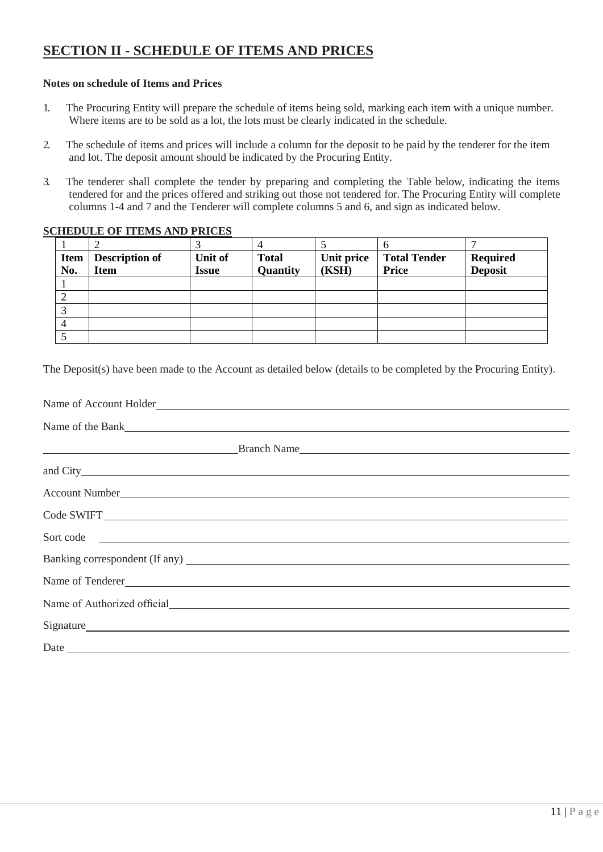## <span id="page-10-0"></span>**SECTION II - SCHEDULE OF ITEMS AND PRICES**

#### **Notes on schedule of Items and Prices**

- 1. The Procuring Entity will prepare the schedule of items being sold, marking each item with a unique number. Where items are to be sold as a lot, the lots must be clearly indicated in the schedule.
- 2. The schedule of items and prices will include a column for the deposit to be paid by the tenderer for the item and lot. The deposit amount should be indicated by the Procuring Entity.
- 3. The tenderer shall complete the tender by preparing and completing the Table below, indicating the items tendered for and the prices offered and striking out those not tendered for. The Procuring Entity will complete columns 1-4 and 7 and the Tenderer will complete columns 5 and 6, and sign as indicated below.

#### **SCHEDULE OF ITEMS AND PRICES**

|      |                       |         |              |            | O                   |                 |
|------|-----------------------|---------|--------------|------------|---------------------|-----------------|
| Item | <b>Description of</b> | Unit of | <b>Total</b> | Unit price | <b>Total Tender</b> | <b>Required</b> |
| No.  | <b>Item</b>           | Issue   | Quantity     | (KSH)      | Price               | <b>Deposit</b>  |
|      |                       |         |              |            |                     |                 |
|      |                       |         |              |            |                     |                 |
|      |                       |         |              |            |                     |                 |
|      |                       |         |              |            |                     |                 |
|      |                       |         |              |            |                     |                 |

The Deposit(s) have been made to the Account as detailed below (details to be completed by the Procuring Entity).

| Name of Account Holder                                                                                                                                                                                                         |  |  |
|--------------------------------------------------------------------------------------------------------------------------------------------------------------------------------------------------------------------------------|--|--|
| Name of the Bank experience of the Bank and the Bank and the Bank and the Bank and the Bank and the Bank and the Bank and the Bank and the Bank and the Bank and the Bank and the Bank and the Bank and the Bank and the Bank  |  |  |
| Example 3 and 3 and 3 and 3 and 3 and 3 and 3 and 3 and 3 and 3 and 3 and 3 and 3 and 3 and 3 and 3 and 3 and 3 and 3 and 3 and 3 and 3 and 3 and 3 and 3 and 3 and 3 and 3 and 3 and 3 and 3 and 3 and 3 and 3 and 3 and 3 an |  |  |
|                                                                                                                                                                                                                                |  |  |
| Account Number League and Account Number League and Account Number League and Account Number League and Account Number League and Account Number League and Account Number 2014                                                |  |  |
| Code SWIFT                                                                                                                                                                                                                     |  |  |
| Sort code                                                                                                                                                                                                                      |  |  |
|                                                                                                                                                                                                                                |  |  |
| Name of Tenderer                                                                                                                                                                                                               |  |  |
| Name of Authorized official                                                                                                                                                                                                    |  |  |
| Signature                                                                                                                                                                                                                      |  |  |
|                                                                                                                                                                                                                                |  |  |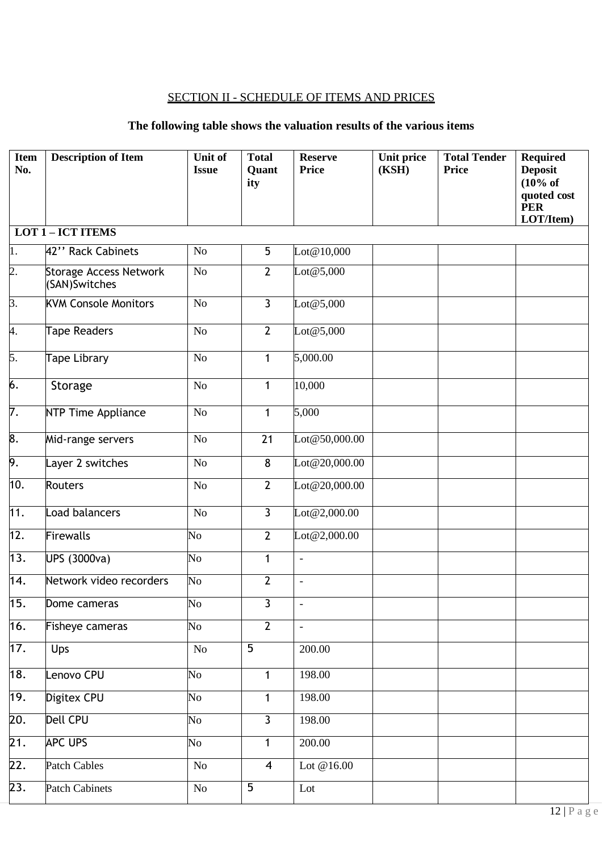## SECTION II - SCHEDULE OF ITEMS AND PRICES

## **The following table shows the valuation results of the various items**

| <b>Item</b><br>No. | <b>Description of Item</b>                     | <b>Unit of</b><br><b>Issue</b> | <b>Total</b><br>Quant<br>ity | <b>Reserve</b><br><b>Price</b> | <b>Unit price</b><br>(KSH) | <b>Total Tender</b><br><b>Price</b> | <b>Required</b><br><b>Deposit</b><br>(10% of<br>quoted cost<br><b>PER</b><br>LOT/Item) |
|--------------------|------------------------------------------------|--------------------------------|------------------------------|--------------------------------|----------------------------|-------------------------------------|----------------------------------------------------------------------------------------|
|                    | <b>LOT 1-ICT ITEMS</b>                         |                                |                              |                                |                            |                                     |                                                                                        |
| 1.                 | 42" Rack Cabinets                              | No                             | 5                            | Lot@10,000                     |                            |                                     |                                                                                        |
| $\overline{2}$ .   | <b>Storage Access Network</b><br>(SAN)Switches | No                             | $\overline{2}$               | $\text{Lot} @ 5,000$           |                            |                                     |                                                                                        |
| 3.                 | <b>KVM Console Monitors</b>                    | No                             | $\overline{3}$               | $\text{Lot} @ 5,000$           |                            |                                     |                                                                                        |
| 4.                 | <b>Tape Readers</b>                            | N <sub>o</sub>                 | $\overline{2}$               | $\text{Lot} @ 5,000$           |                            |                                     |                                                                                        |
| 5.                 | <b>Tape Library</b>                            | No                             | $\mathbf{1}$                 | 5,000.00                       |                            |                                     |                                                                                        |
| 6.                 | Storage                                        | No                             | $\mathbf{1}$                 | 10,000                         |                            |                                     |                                                                                        |
| $\overline{7}$ .   | NTP Time Appliance                             | No                             | $\mathbf{1}$                 | 5,000                          |                            |                                     |                                                                                        |
| 8.                 | Mid-range servers                              | No                             | 21                           | Lot@50,000.00                  |                            |                                     |                                                                                        |
| 9.                 | Layer 2 switches                               | No                             | 8                            | Lot@20,000.00                  |                            |                                     |                                                                                        |
| 10.                | <b>Routers</b>                                 | No                             | $\overline{2}$               | Lot@20,000.00                  |                            |                                     |                                                                                        |
| 11.                | Load balancers                                 | No                             | $\overline{3}$               | Lot@2,000.00                   |                            |                                     |                                                                                        |
| 12.                | Firewalls                                      | No                             | $\overline{2}$               | Lot@2,000.00                   |                            |                                     |                                                                                        |
| 13.                | UPS (3000va)                                   | N <sub>o</sub>                 | $\mathbf{1}$                 | $\Box$                         |                            |                                     |                                                                                        |
| 14.                | Network video recorders                        | N <sub>o</sub>                 | $\overline{2}$               | $\overline{a}$                 |                            |                                     |                                                                                        |
| 15.                | Dome cameras                                   | N <sub>o</sub>                 | 3                            | $\qquad \qquad -$              |                            |                                     |                                                                                        |
| 16.                | Fisheye cameras                                | $\overline{\text{No}}$         | $\overline{2}$               | $\overline{\phantom{a}}$       |                            |                                     |                                                                                        |
| 17.                | Ups                                            | $\rm No$                       | $\overline{5}$               | 200.00                         |                            |                                     |                                                                                        |
| 18.                | Lenovo CPU                                     | $\overline{N_{O}}$             | $\mathbf{1}$                 | 198.00                         |                            |                                     |                                                                                        |
| 19.                | Digitex CPU                                    | $\overline{\text{No}}$         | $\mathbf{1}$                 | 198.00                         |                            |                                     |                                                                                        |
| 20.                | <b>Dell CPU</b>                                | No                             | $\overline{3}$               | 198.00                         |                            |                                     |                                                                                        |
| 21.                | <b>APC UPS</b>                                 | No                             | 1                            | 200.00                         |                            |                                     |                                                                                        |
| 22.                | Patch Cables                                   | No                             | $\overline{\mathbf{4}}$      | Lot $@16.00$                   |                            |                                     |                                                                                        |
| 23.                | <b>Patch Cabinets</b>                          | No                             | $\overline{5}$               | Lot                            |                            |                                     |                                                                                        |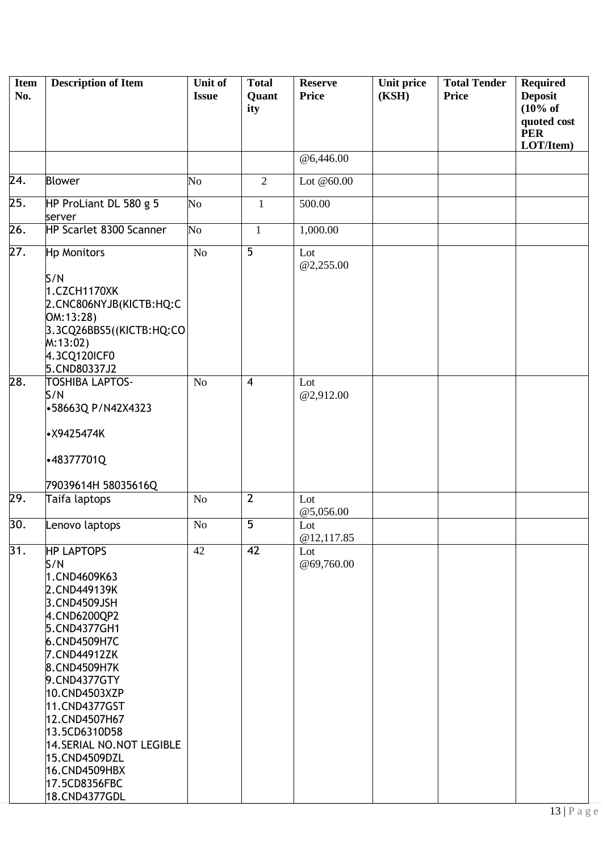| <b>Item</b><br>No. | <b>Description of Item</b>                                                                                                                                                                                                                                                                                                                     | <b>Unit of</b><br><b>Issue</b> | <b>Total</b><br>Quant<br>ity | <b>Reserve</b><br><b>Price</b> | Unit price<br>(KSH) | <b>Total Tender</b><br><b>Price</b> | <b>Required</b><br><b>Deposit</b><br>$(10\% \text{ of }$<br>quoted cost<br><b>PER</b><br>LOT/Item) |
|--------------------|------------------------------------------------------------------------------------------------------------------------------------------------------------------------------------------------------------------------------------------------------------------------------------------------------------------------------------------------|--------------------------------|------------------------------|--------------------------------|---------------------|-------------------------------------|----------------------------------------------------------------------------------------------------|
|                    |                                                                                                                                                                                                                                                                                                                                                |                                |                              | @6,446.00                      |                     |                                     |                                                                                                    |
| 24.                | <b>Blower</b>                                                                                                                                                                                                                                                                                                                                  | N <sub>o</sub>                 | $\overline{2}$               | Lot $@60.00$                   |                     |                                     |                                                                                                    |
| 25.                | HP ProLiant DL 580 g 5<br>server                                                                                                                                                                                                                                                                                                               | N <sub>o</sub>                 | $\mathbf{1}$                 | 500.00                         |                     |                                     |                                                                                                    |
| 26.                | HP Scarlet 8300 Scanner                                                                                                                                                                                                                                                                                                                        | N <sub>o</sub>                 | $\mathbf{1}$                 | 1,000.00                       |                     |                                     |                                                                                                    |
| 27.                | Hp Monitors<br>S/N                                                                                                                                                                                                                                                                                                                             | N <sub>o</sub>                 | 5                            | Lot<br>@2,255.00               |                     |                                     |                                                                                                    |
|                    | 1.CZCH1170XK<br>2.CNC806NYJB(KICTB:HQ:C<br>OM:13:28)<br>3.3CQ26BBS5((KICTB:HQ:CO<br>M:13:02<br>4.3CQ120ICF0<br>5.CND80337J2                                                                                                                                                                                                                    |                                |                              |                                |                     |                                     |                                                                                                    |
| 28.                | <b>TOSHIBA LAPTOS-</b><br>S/N<br>-58663Q P/N42X4323<br>· X9425474K                                                                                                                                                                                                                                                                             | N <sub>o</sub>                 | $\overline{4}$               | Lot<br>@2,912.00               |                     |                                     |                                                                                                    |
|                    | -48377701Q                                                                                                                                                                                                                                                                                                                                     |                                |                              |                                |                     |                                     |                                                                                                    |
| 29.                | 79039614H 58035616Q<br>Taifa laptops                                                                                                                                                                                                                                                                                                           | No                             | $\overline{2}$               | Lot                            |                     |                                     |                                                                                                    |
|                    |                                                                                                                                                                                                                                                                                                                                                |                                |                              | @5,056.00                      |                     |                                     |                                                                                                    |
| 30.                | Lenovo laptops                                                                                                                                                                                                                                                                                                                                 | No                             | $\overline{5}$               | Lot<br>@12,117.85              |                     |                                     |                                                                                                    |
| 31.                | <b>HP LAPTOPS</b><br>S/N<br>1.CND4609K63<br>2.CND449139K<br>3.CND4509JSH<br>4.CND6200QP2<br>5.CND4377GH1<br>6.CND4509H7C<br>7.CND44912ZK<br>8.CND4509H7K<br>9.CND4377GTY<br>10.CND4503XZP<br>11.CND4377GST<br>12.CND4507H67<br>13.5CD6310D58<br>14. SERIAL NO. NOT LEGIBLE<br>15.CND4509DZL<br>16.CND4509HBX<br>17.5CD8356FBC<br>18.CND4377GDL | 42                             | 42                           | Lot<br>@69,760.00              |                     |                                     |                                                                                                    |

÷.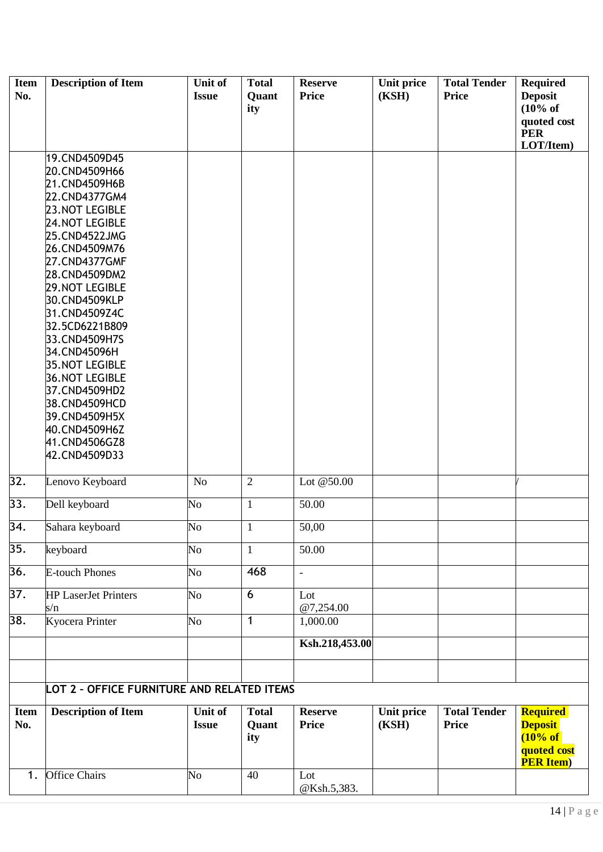| <b>Item</b><br>No. | <b>Description of Item</b>                                                                                                                                                                                                                                                                                                                                                                                                                                    | Unit of<br><b>Issue</b> | <b>Total</b><br>Quant<br>ity | <b>Reserve</b><br><b>Price</b> | Unit price<br>(KSH)        | <b>Total Tender</b><br><b>Price</b> | <b>Required</b><br><b>Deposit</b><br>$(10\% \text{ of }$<br>quoted cost<br><b>PER</b><br>LOT/Item) |
|--------------------|---------------------------------------------------------------------------------------------------------------------------------------------------------------------------------------------------------------------------------------------------------------------------------------------------------------------------------------------------------------------------------------------------------------------------------------------------------------|-------------------------|------------------------------|--------------------------------|----------------------------|-------------------------------------|----------------------------------------------------------------------------------------------------|
|                    | 19.CND4509D45<br>20.CND4509H66<br>21.CND4509H6B<br>22.CND4377GM4<br><b>23. NOT LEGIBLE</b><br><b>24.NOT LEGIBLE</b><br>25.CND4522JMG<br>26.CND4509M76<br>27.CND4377GMF<br>28.CND4509DM2<br><b>29.NOT LEGIBLE</b><br>30.CND4509KLP<br>31.CND4509Z4C<br>32.5CD6221B809<br>33.CND4509H7S<br>34.CND45096H<br><b>35.NOT LEGIBLE</b><br><b>36.NOT LEGIBLE</b><br>37.CND4509HD2<br>38.CND4509HCD<br>39.CND4509H5X<br>40.CND4509H6Z<br>41.CND4506GZ8<br>42.CND4509D33 |                         |                              |                                |                            |                                     |                                                                                                    |
| 32.                | Lenovo Keyboard                                                                                                                                                                                                                                                                                                                                                                                                                                               | N <sub>o</sub>          | $\overline{2}$               | Lot @50.00                     |                            |                                     |                                                                                                    |
| 33.                | Dell keyboard                                                                                                                                                                                                                                                                                                                                                                                                                                                 | $\overline{\text{No}}$  | $\mathbf{1}$                 | 50.00                          |                            |                                     |                                                                                                    |
| 34.                | Sahara keyboard                                                                                                                                                                                                                                                                                                                                                                                                                                               | $\overline{\text{No}}$  | $\overline{1}$               | 50,00                          |                            |                                     |                                                                                                    |
| 35.                | keyboard                                                                                                                                                                                                                                                                                                                                                                                                                                                      | $\overline{\text{No}}$  | $\mathbf{1}$                 | 50.00                          |                            |                                     |                                                                                                    |
| 36.                | <b>E-touch Phones</b>                                                                                                                                                                                                                                                                                                                                                                                                                                         | $\overline{\text{No}}$  | 468                          | $\overline{\phantom{a}}$       |                            |                                     |                                                                                                    |
| 37.                | <b>HP</b> LaserJet Printers<br>s/n                                                                                                                                                                                                                                                                                                                                                                                                                            | $\overline{\text{No}}$  | 6                            | Lot<br>@7,254.00               |                            |                                     |                                                                                                    |
| 38.                | Kyocera Printer                                                                                                                                                                                                                                                                                                                                                                                                                                               | $\overline{\text{No}}$  | $\mathbf{1}$                 | 1,000.00<br>Ksh.218,453.00     |                            |                                     |                                                                                                    |
|                    | LOT 2 - OFFICE FURNITURE AND RELATED ITEMS                                                                                                                                                                                                                                                                                                                                                                                                                    |                         |                              |                                |                            |                                     |                                                                                                    |
| <b>Item</b><br>No. | <b>Description of Item</b>                                                                                                                                                                                                                                                                                                                                                                                                                                    | Unit of<br><b>Issue</b> | <b>Total</b><br>Quant<br>ity | <b>Reserve</b><br><b>Price</b> | <b>Unit price</b><br>(KSH) | <b>Total Tender</b><br><b>Price</b> | <b>Required</b><br><b>Deposit</b><br>(10% of<br>quoted cost<br><b>PER Item</b> )                   |
| 1.                 | <b>Office Chairs</b>                                                                                                                                                                                                                                                                                                                                                                                                                                          | $\overline{\text{No}}$  | 40                           | Lot<br>@Ksh.5,383.             |                            |                                     |                                                                                                    |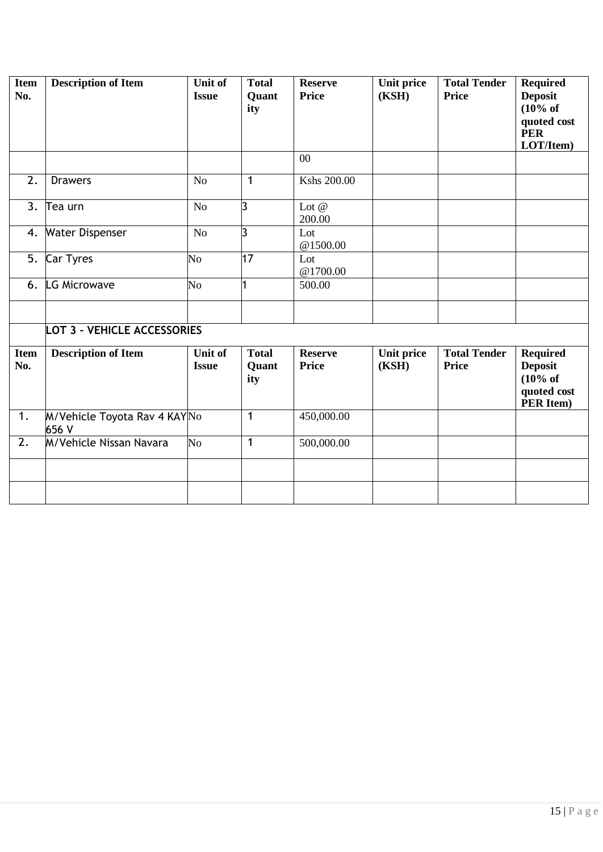| <b>Item</b><br>No. | <b>Description of Item</b>            | Unit of<br><b>Issue</b>        | <b>Total</b><br>Quant<br>ity | <b>Reserve</b><br><b>Price</b><br>$00\,$ | Unit price<br>(KSH) | <b>Total Tender</b><br><b>Price</b> | <b>Required</b><br><b>Deposit</b><br>(10% of<br>quoted cost<br><b>PER</b><br>LOT/Item) |
|--------------------|---------------------------------------|--------------------------------|------------------------------|------------------------------------------|---------------------|-------------------------------------|----------------------------------------------------------------------------------------|
|                    |                                       |                                |                              |                                          |                     |                                     |                                                                                        |
| 2.                 | <b>Drawers</b>                        | N <sub>o</sub>                 | $\mathbf{1}$                 | Kshs 200.00                              |                     |                                     |                                                                                        |
| 3.                 | Tea urn                               | No                             | l3                           | Lot $@$<br>200.00                        |                     |                                     |                                                                                        |
| 4.                 | <b>Water Dispenser</b>                | N <sub>o</sub>                 | l3                           | Lot<br>@1500.00                          |                     |                                     |                                                                                        |
| 5.                 | <b>Car Tyres</b>                      | No                             | 17                           | Lot<br>@1700.00                          |                     |                                     |                                                                                        |
| 6.                 | LG Microwave                          | $\overline{N_{O}}$             | 1                            | 500.00                                   |                     |                                     |                                                                                        |
|                    |                                       |                                |                              |                                          |                     |                                     |                                                                                        |
|                    | <b>LOT 3 - VEHICLE ACCESSORIES</b>    |                                |                              |                                          |                     |                                     |                                                                                        |
| <b>Item</b><br>No. | <b>Description of Item</b>            | <b>Unit of</b><br><b>Issue</b> | <b>Total</b><br>Quant<br>ity | <b>Reserve</b><br><b>Price</b>           | Unit price<br>(KSH) | <b>Total Tender</b><br>Price        | <b>Required</b><br><b>Deposit</b><br>(10% of<br>quoted cost<br>PER Item)               |
| $\overline{1}$ .   | M/Vehicle Toyota Rav 4 KAYNo<br>656 V |                                | $\mathbf{1}$                 | 450,000.00                               |                     |                                     |                                                                                        |
| $\overline{2}$ .   | M/Vehicle Nissan Navara               | $\overline{N}$                 | $\mathbf{1}$                 | 500,000.00                               |                     |                                     |                                                                                        |
|                    |                                       |                                |                              |                                          |                     |                                     |                                                                                        |
|                    |                                       |                                |                              |                                          |                     |                                     |                                                                                        |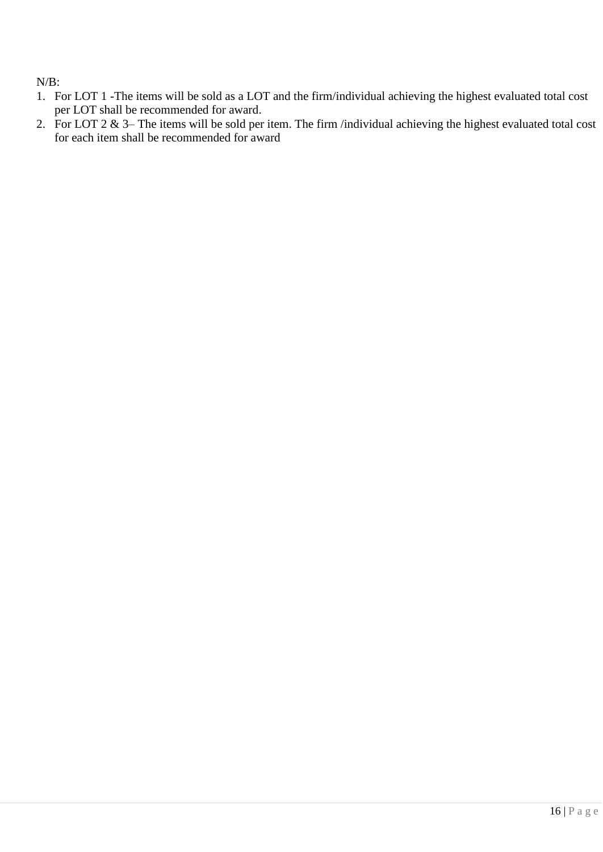N/B:

- 1. For LOT 1 -The items will be sold as a LOT and the firm/individual achieving the highest evaluated total cost per LOT shall be recommended for award.
- 2. For LOT  $2 \& 3$  The items will be sold per item. The firm /individual achieving the highest evaluated total cost for each item shall be recommended for award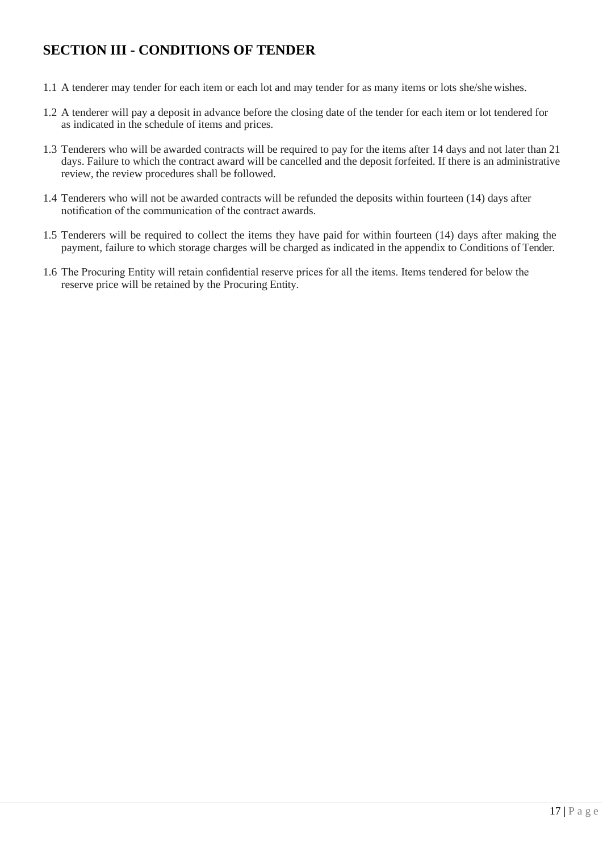## <span id="page-16-0"></span>**SECTION III - CONDITIONS OF TENDER**

- 1.1 A tenderer may tender for each item or each lot and may tender for as many items or lots she/she wishes.
- 1.2 A tenderer will pay a deposit in advance before the closing date of the tender for each item or lot tendered for as indicated in the schedule of items and prices.
- 1.3 Tenderers who will be awarded contracts will be required to pay for the items after 14 days and not later than 21 days. Failure to which the contract award will be cancelled and the deposit forfeited. If there is an administrative review, the review procedures shall be followed.
- 1.4 Tenderers who will not be awarded contracts will be refunded the deposits within fourteen (14) days after notification of the communication of the contract awards.
- 1.5 Tenderers will be required to collect the items they have paid for within fourteen (14) days after making the payment, failure to which storage charges will be charged as indicated in the appendix to Conditions of Tender.
- 1.6 The Procuring Entity will retain confidential reserve prices for all the items. Items tendered for below the reserve price will be retained by the Procuring Entity.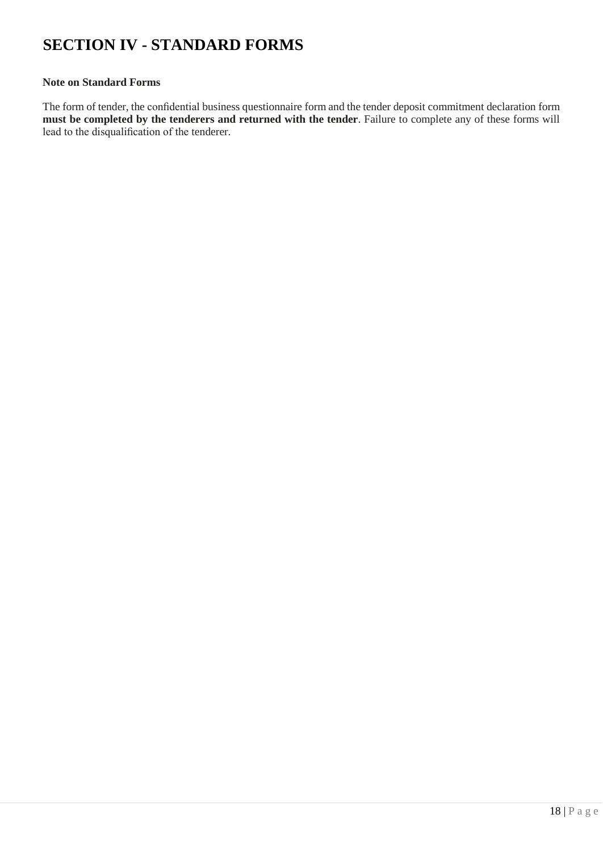# <span id="page-17-0"></span>**SECTION IV - STANDARD FORMS**

#### **Note on Standard Forms**

The form of tender, the confidential business questionnaire form and the tender deposit commitment declaration form **must be completed by the tenderers and returned with the tender**. Failure to complete any of these forms will lead to the disqualification of the tenderer.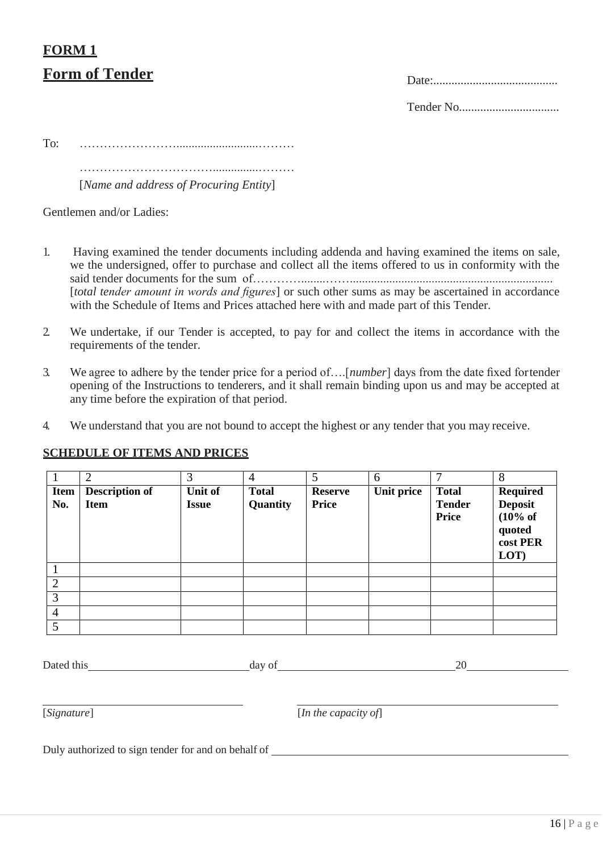# <span id="page-18-1"></span><span id="page-18-0"></span>**FORM 1 Form of Tender** Date:

Tender No.................................

To: ……………………...........................………

……………………………...............………

[*Name and address of Procuring Entity*]

Gentlemen and/or Ladies:

- 1. Having examined the tender documents including addenda and having examined the items on sale, we the undersigned, offer to purchase and collect all the items offered to us in conformity with the said tender documents for the sum of…………........……................................................................... [*total tender amount in words and figures*] or such other sums as may be ascertained in accordance with the Schedule of Items and Prices attached here with and made part of this Tender.
- 2. We undertake, if our Tender is accepted, to pay for and collect the items in accordance with the requirements of the tender.
- 3. We agree to adhere by the tender price for a period of….[*number*] days from the date fixed fortender opening of the Instructions to tenderers, and it shall remain binding upon us and may be accepted at any time before the expiration of that period.
- 4. We understand that you are not bound to accept the highest or any tender that you may receive.

## <span id="page-18-2"></span>**SCHEDULE OF ITEMS AND PRICES**

|                | $\overline{2}$        | 3            | $\overline{4}$ | 5              | 6          | ⇁             | 8                   |
|----------------|-----------------------|--------------|----------------|----------------|------------|---------------|---------------------|
| Item           | <b>Description of</b> | Unit of      | <b>Total</b>   | <b>Reserve</b> | Unit price | <b>Total</b>  | <b>Required</b>     |
| No.            | <b>Item</b>           | <b>Issue</b> | Quantity       | <b>Price</b>   |            | <b>Tender</b> | <b>Deposit</b>      |
|                |                       |              |                |                |            | Price         | $(10\% \text{ of }$ |
|                |                       |              |                |                |            |               | quoted              |
|                |                       |              |                |                |            |               | cost PER            |
|                |                       |              |                |                |            |               | LOT)                |
|                |                       |              |                |                |            |               |                     |
| $\overline{2}$ |                       |              |                |                |            |               |                     |
| 3              |                       |              |                |                |            |               |                     |
| $\overline{4}$ |                       |              |                |                |            |               |                     |
| 5              |                       |              |                |                |            |               |                     |

| Dated this                                          | day of |                      | 20 |
|-----------------------------------------------------|--------|----------------------|----|
| [Signature]                                         |        | [In the capacity of] |    |
| Duly authorized to sign tender for and on behalf of |        |                      |    |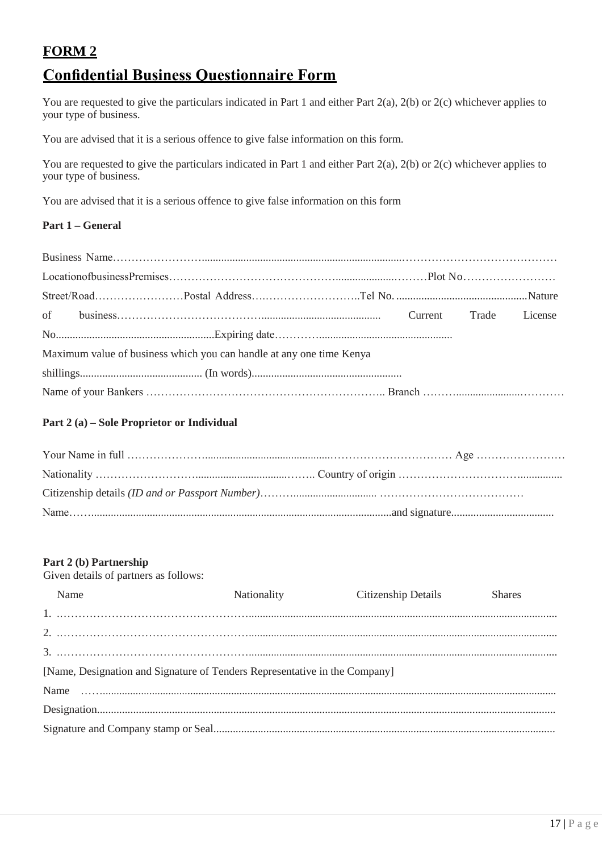# <span id="page-19-1"></span><span id="page-19-0"></span>**FORM 2 Confidential Business Questionnaire Form**

You are requested to give the particulars indicated in Part 1 and either Part 2(a), 2(b) or 2(c) whichever applies to your type of business.

You are advised that it is a serious offence to give false information on this form.

You are requested to give the particulars indicated in Part 1 and either Part 2(a), 2(b) or 2(c) whichever applies to your type of business.

You are advised that it is a serious offence to give false information on this form

## **Part 1 – General**

| Maximum value of business which you can handle at any one time Kenya |  |  |
|----------------------------------------------------------------------|--|--|
|                                                                      |  |  |
|                                                                      |  |  |

### **Part 2 (a) – Sole Proprietor or Individual**

#### **Part 2 (b) Partnership**

Given details of partners as follows:

| Name                                                                       | Nationality | Citizenship Details | <b>Shares</b> |
|----------------------------------------------------------------------------|-------------|---------------------|---------------|
|                                                                            |             |                     |               |
|                                                                            |             |                     |               |
|                                                                            |             |                     |               |
| [Name, Designation and Signature of Tenders Representative in the Company] |             |                     |               |
|                                                                            |             |                     |               |
|                                                                            |             |                     |               |
|                                                                            |             |                     |               |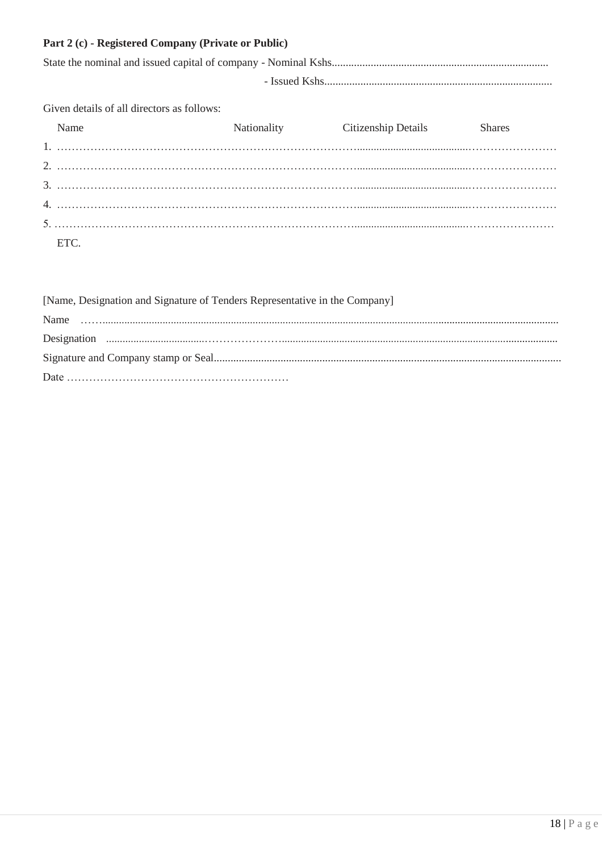| Part 2 (c) - Registered Company (Private or Public) |  |  |  |  |
|-----------------------------------------------------|--|--|--|--|
|-----------------------------------------------------|--|--|--|--|

Given details of all directors as follows:

| Name | <b>Nationality</b> | Citizenship Details | <b>Shares</b> |
|------|--------------------|---------------------|---------------|
|      |                    |                     |               |
|      |                    |                     |               |
|      |                    |                     |               |
|      |                    |                     |               |
|      |                    |                     |               |
|      |                    |                     |               |
| ETC. |                    |                     |               |

| [Name, Designation and Signature of Tenders Representative in the Company] |
|----------------------------------------------------------------------------|
|                                                                            |
|                                                                            |
|                                                                            |
|                                                                            |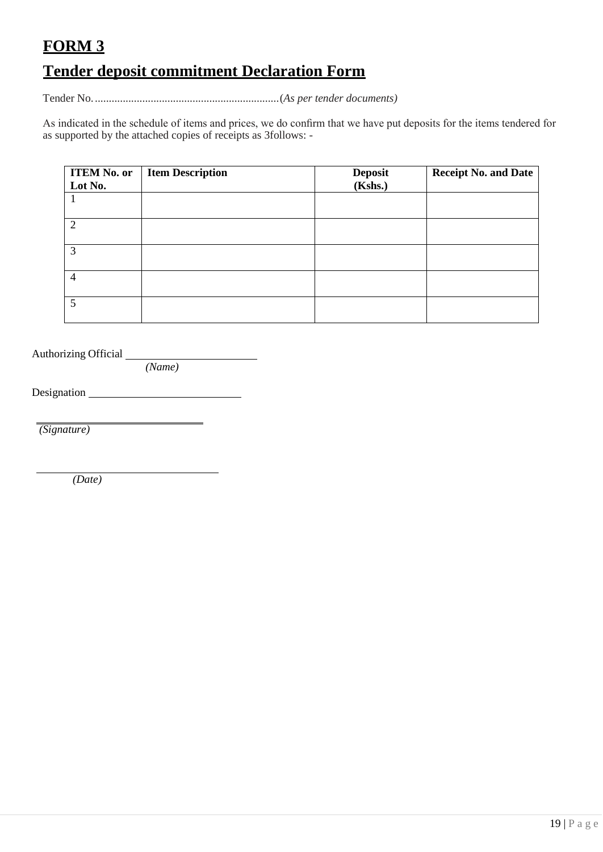# <span id="page-21-0"></span>**FORM 3**

# <span id="page-21-1"></span>**Tender deposit commitment Declaration Form**

Tender No...................................................................(*As per tender documents)*

As indicated in the schedule of items and prices, we do confirm that we have put deposits for the items tendered for as supported by the attached copies of receipts as 3follows: -

| <b>ITEM No. or</b>       | <b>Item Description</b> | <b>Deposit</b> | <b>Receipt No. and Date</b> |
|--------------------------|-------------------------|----------------|-----------------------------|
| Lot No.                  |                         | (Kshs.)        |                             |
|                          |                         |                |                             |
| $\gamma$                 |                         |                |                             |
| 3                        |                         |                |                             |
| $\overline{4}$           |                         |                |                             |
| $\overline{\mathcal{L}}$ |                         |                |                             |

Authorizing Official

*(Name)*

Designation

*(Signature)*

*(Date)*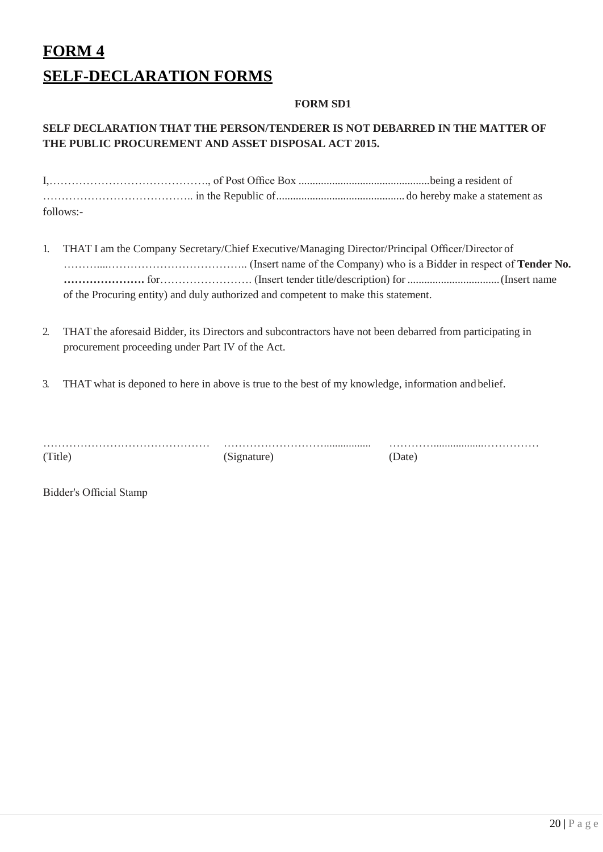# <span id="page-22-1"></span><span id="page-22-0"></span>**FORM 4 SELF-DECLARATION FORMS**

## **FORM SD1**

## **SELF DECLARATION THAT THE PERSON/TENDERER IS NOT DEBARRED IN THE MATTER OF THE PUBLIC PROCUREMENT AND ASSET DISPOSAL ACT 2015.**

| follows:- |  |
|-----------|--|

- 1. THAT I am the Company Secretary/Chief Executive/Managing Director/Principal Officer/Director of ………....……………………………….. (Insert name of the Company) who is a Bidder in respect of **Tender No. ………………….** for……………………. (Insert tender title/description) for .................................(Insert name of the Procuring entity) and duly authorized and competent to make this statement.
- 2. THAT the aforesaid Bidder, its Directors and subcontractors have not been debarred from participating in procurement proceeding under Part IV of the Act.
- 3. THAT what is deponed to here in above is true to the best of my knowledge, information andbelief.

| (Title) |  |  |  |
|---------|--|--|--|

(Signature) (Date)

……………………………………… ………………………................. …………..................……………

Bidder's Official Stamp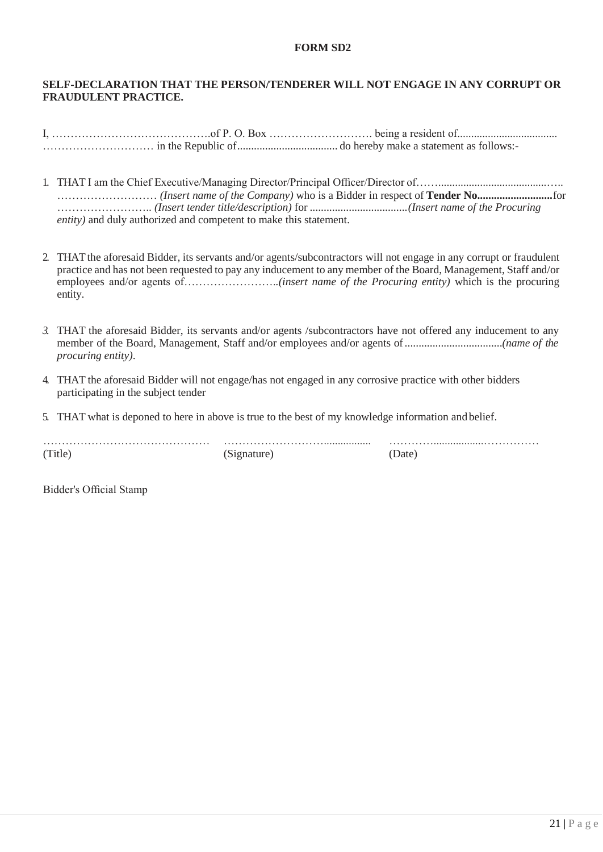## **FORM SD2**

## **SELF-DECLARATION THAT THE PERSON/TENDERER WILL NOT ENGAGE IN ANY CORRUPT OR FRAUDULENT PRACTICE.**

- 1. THAT I am the Chief Executive/Managing Director/Principal Officer/Director of…….......................................….. ……………………… *(Insert name of the Company)* who is a Bidder in respect of **Tender No...........................**for …………………….. *(Insert tender title/description)* for ...................................*(Insert name of the Procuring entity)* and duly authorized and competent to make this statement.
- 2. THAT the aforesaid Bidder, its servants and/or agents/subcontractors will not engage in any corrupt or fraudulent practice and has not been requested to pay any inducement to any member of the Board, Management, Staff and/or employees and/or agents of…………………….*.(insert name of the Procuring entity)* which is the procuring entity.
- *3.* THAT the aforesaid Bidder, its servants and/or agents /subcontractors have not offered any inducement to any member of the Board, Management, Staff and/or employees and/or agents of...................................*(name of the procuring entity)*.
- 4. THAT the aforesaid Bidder will not engage/has not engaged in any corrosive practice with other bidders participating in the subject tender
- 5. THAT what is deponed to here in above is true to the best of my knowledge information and belief.

| (Title) | )ate |  |
|---------|------|--|

Bidder's Official Stamp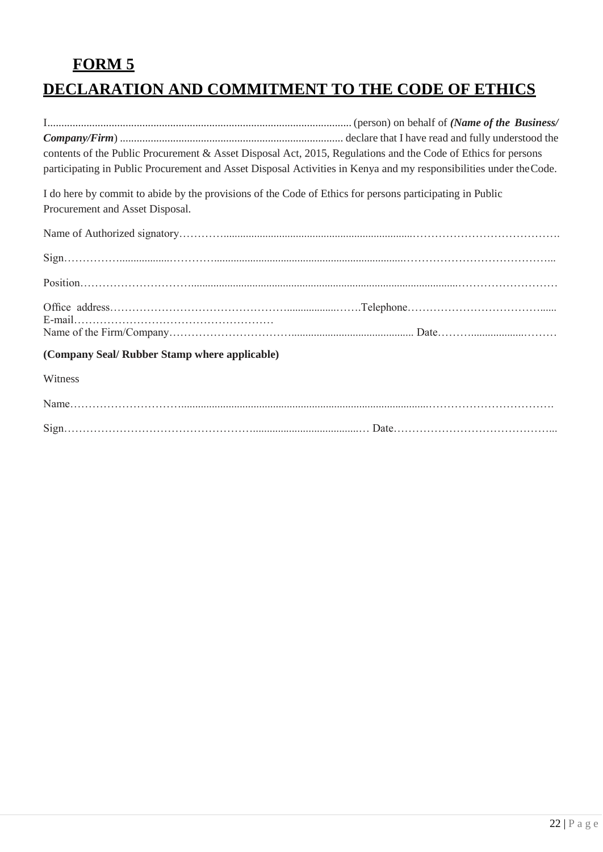# **FORM 5**

# <span id="page-24-1"></span><span id="page-24-0"></span>**DECLARATION AND COMMITMENT TO THE CODE OF ETHICS**

| contents of the Public Procurement & Asset Disposal Act, 2015, Regulations and the Code of Ethics for persons<br>participating in Public Procurement and Asset Disposal Activities in Kenya and my responsibilities under the Code. |
|-------------------------------------------------------------------------------------------------------------------------------------------------------------------------------------------------------------------------------------|
| I do here by commit to abide by the provisions of the Code of Ethics for persons participating in Public<br>Procurement and Asset Disposal.                                                                                         |
|                                                                                                                                                                                                                                     |
|                                                                                                                                                                                                                                     |
|                                                                                                                                                                                                                                     |
|                                                                                                                                                                                                                                     |
| (Company Seal/ Rubber Stamp where applicable)                                                                                                                                                                                       |
| Witness                                                                                                                                                                                                                             |
|                                                                                                                                                                                                                                     |
|                                                                                                                                                                                                                                     |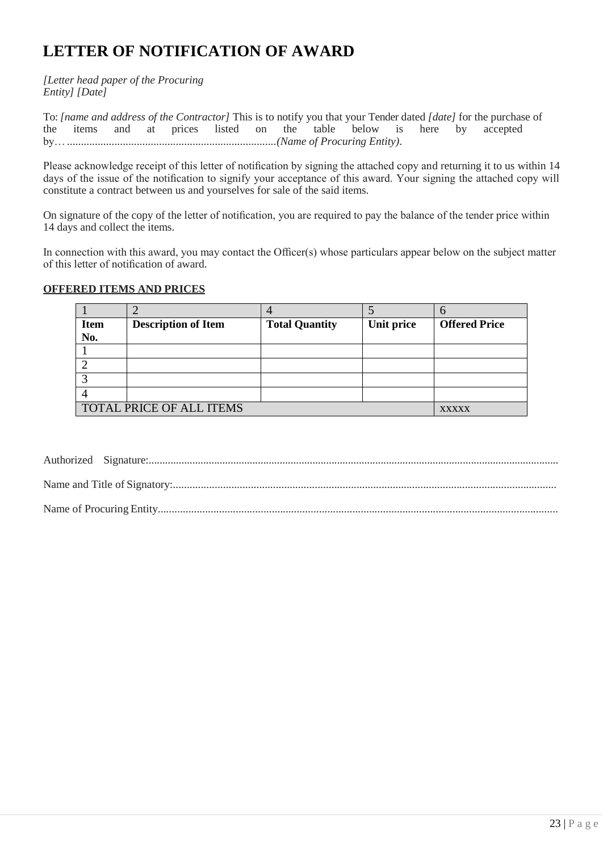# <span id="page-25-0"></span>**LETTER OF NOTIFICATION OF AWARD**

*[Letter head paper of the Procuring Entity] [Date]*

To: *[name and address of the Contractor]* This is to notify you that your Tender dated *[date]* for the purchase of the items and at prices listed on the table below is here by accepted the items and at prices listed on the by…...........................................................................*(Name of Procuring Entity)*.

Please acknowledge receipt of this letter of notification by signing the attached copy and returning it to us within 14 days of the issue of the notification to signify your acceptance of this award. Your signing the attached copy will constitute a contract between us and yourselves for sale of the said items.

On signature of the copy of the letter of notification, you are required to pay the balance of the tender price within 14 days and collect the items.

In connection with this award, you may contact the Officer(s) whose particulars appear below on the subject matter of this letter of notification of award.

#### **OFFERED ITEMS AND PRICES**

| <b>Item</b> | <b>Description of Item</b> | <b>Total Quantity</b> | Unit price | <b>Offered Price</b> |
|-------------|----------------------------|-----------------------|------------|----------------------|
| No.         |                            |                       |            |                      |
|             |                            |                       |            |                      |
|             |                            |                       |            |                      |
|             |                            |                       |            |                      |
|             |                            |                       |            |                      |
|             | TOTAL PRICE OF ALL ITEMS   |                       |            | <b>XXXXX</b>         |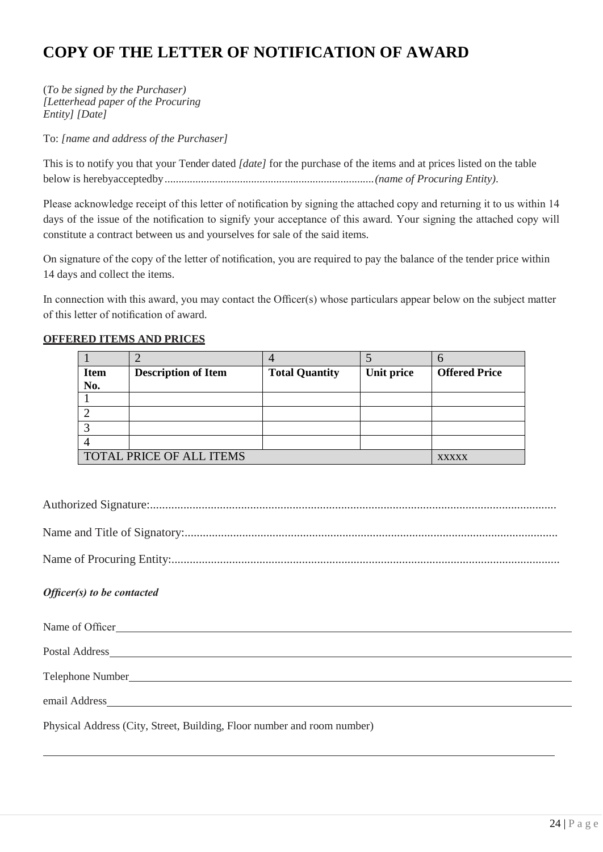# <span id="page-26-0"></span>**COPY OF THE LETTER OF NOTIFICATION OF AWARD**

(*To be signed by the Purchaser) [Letterhead paper of the Procuring Entity] [Date]*

To: *[name and address of the Purchaser]*

This is to notify you that your Tender dated *[date]* for the purchase of the items and at prices listed on the table below is herebyacceptedby...........................................................................*(name of Procuring Entity)*.

Please acknowledge receipt of this letter of notification by signing the attached copy and returning it to us within 14 days of the issue of the notification to signify your acceptance of this award. Your signing the attached copy will constitute a contract between us and yourselves for sale of the said items.

On signature of the copy of the letter of notification, you are required to pay the balance of the tender price within 14 days and collect the items.

In connection with this award, you may contact the Officer(s) whose particulars appear below on the subject matter of this letter of notification of award.

## **OFFERED ITEMS AND PRICES**

| <b>Item</b>              | <b>Description of Item</b> | <b>Total Quantity</b> | Unit price | <b>Offered Price</b> |
|--------------------------|----------------------------|-----------------------|------------|----------------------|
| No.                      |                            |                       |            |                      |
|                          |                            |                       |            |                      |
|                          |                            |                       |            |                      |
|                          |                            |                       |            |                      |
|                          |                            |                       |            |                      |
| TOTAL PRICE OF ALL ITEMS | <b>XXXXX</b>               |                       |            |                      |

Authorized Signature:......................................................................................................................................

Name and Title of Signatory:...........................................................................................................................

Name of Procuring Entity:................................................................................................................................

## *Officer(s) to be contacted*

| Name of Officer                                                                                                                                                                                                                |
|--------------------------------------------------------------------------------------------------------------------------------------------------------------------------------------------------------------------------------|
|                                                                                                                                                                                                                                |
|                                                                                                                                                                                                                                |
| email Address and the contract of the contract of the contract of the contract of the contract of the contract of the contract of the contract of the contract of the contract of the contract of the contract of the contract |
| Physical Address (City, Street, Building, Floor number and room number)                                                                                                                                                        |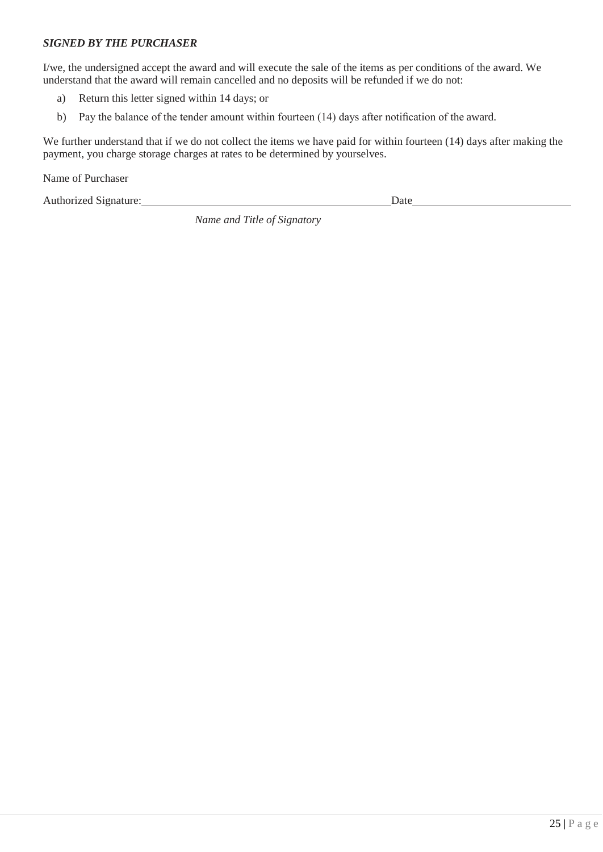## *SIGNED BY THE PURCHASER*

I/we, the undersigned accept the award and will execute the sale of the items as per conditions of the award. We understand that the award will remain cancelled and no deposits will be refunded if we do not:

- a) Return this letter signed within 14 days; or
- b) Pay the balance of the tender amount within fourteen (14) days after notification of the award.

We further understand that if we do not collect the items we have paid for within fourteen (14) days after making the payment, you charge storage charges at rates to be determined by yourselves.

Name of Purchaser

Authorized Signature: Date

*Name and Title of Signatory*